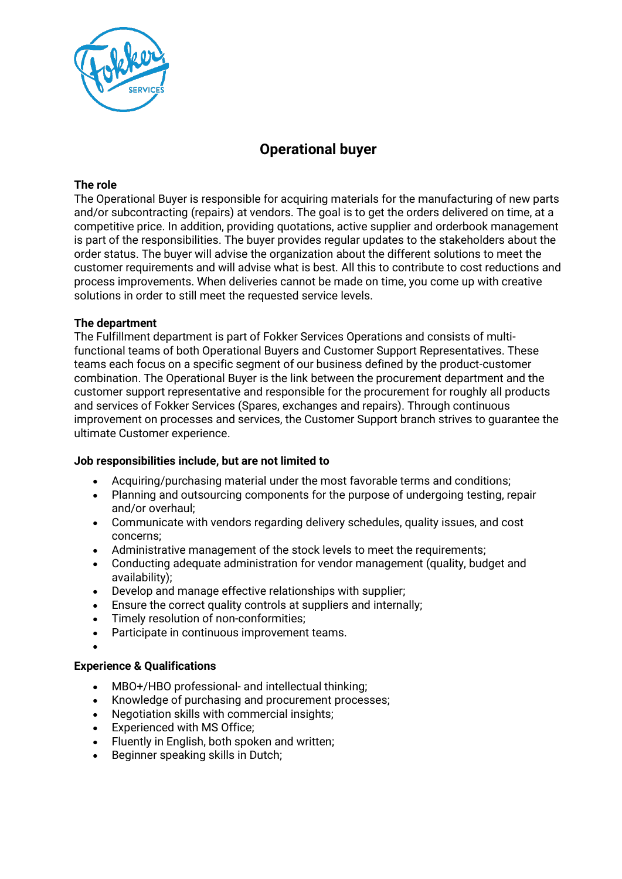

# **Operational buyer**

## **The role**

The Operational Buyer is responsible for acquiring materials for the manufacturing of new parts and/or subcontracting (repairs) at vendors. The goal is to get the orders delivered on time, at a competitive price. In addition, providing quotations, active supplier and orderbook management is part of the responsibilities. The buyer provides regular updates to the stakeholders about the order status. The buyer will advise the organization about the different solutions to meet the customer requirements and will advise what is best. All this to contribute to cost reductions and process improvements. When deliveries cannot be made on time, you come up with creative solutions in order to still meet the requested service levels.

## **The department**

The Fulfillment department is part of Fokker Services Operations and consists of multifunctional teams of both Operational Buyers and Customer Support Representatives. These teams each focus on a specific segment of our business defined by the product-customer combination. The Operational Buyer is the link between the procurement department and the customer support representative and responsible for the procurement for roughly all products and services of Fokker Services (Spares, exchanges and repairs). Through continuous improvement on processes and services, the Customer Support branch strives to guarantee the ultimate Customer experience.

### **Job responsibilities include, but are not limited to**

- Acquiring/purchasing material under the most favorable terms and conditions;
- Planning and outsourcing components for the purpose of undergoing testing, repair and/or overhaul;
- Communicate with vendors regarding delivery schedules, quality issues, and cost concerns;
- Administrative management of the stock levels to meet the requirements;
- Conducting adequate administration for vendor management (quality, budget and availability);
- Develop and manage effective relationships with supplier;
- Ensure the correct quality controls at suppliers and internally;
- Timely resolution of non-conformities;
- Participate in continuous improvement teams.

#### •

# **Experience & Qualifications**

- MBO+/HBO professional- and intellectual thinking;
- Knowledge of purchasing and procurement processes;
- Negotiation skills with commercial insights;
- Experienced with MS Office;
- Fluently in English, both spoken and written;
- Beginner speaking skills in Dutch;